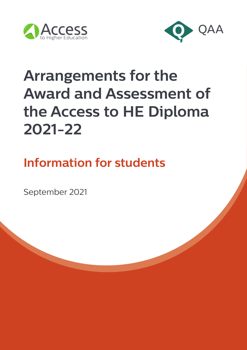



# **Arrangements for the Award and Assessment of the Access to HE Diploma 2021-22**

**Information for students**

September 2021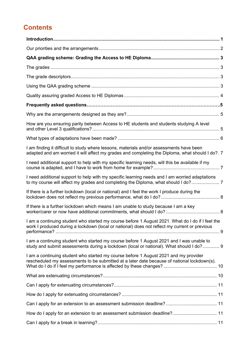# **Contents**

| How are you ensuring parity between Access to HE students and students studying A level                                                                                                           |  |
|---------------------------------------------------------------------------------------------------------------------------------------------------------------------------------------------------|--|
|                                                                                                                                                                                                   |  |
| I am finding it difficult to study where lessons, materials and/or assessments have been<br>adapted and am worried it will affect my grades and completing the Diploma, what should I do?. 7      |  |
| I need additional support to help with my specific learning needs, will this be available if my                                                                                                   |  |
| I need additional support to help with my specific learning needs and I am worried adaptations<br>to my course will affect my grades and completing the Diploma, what should I do?7               |  |
| If there is a further lockdown (local or national) and I feel the work I produce during the                                                                                                       |  |
| If there is a further lockdown which means I am unable to study because I am a key                                                                                                                |  |
| I am a continuing student who started my course before 1 August 2021. What do I do if I feel the<br>work I produced during a lockdown (local or national) does not reflect my current or previous |  |
| I am a continuing student who started my course before 1 August 2021 and I was unable to<br>study and submit assessments during a lockdown (local or national). What should I do? 9               |  |
| I am a continuing student who started my course before 1 August 2021 and my provider<br>rescheduled my assessments to be submitted at a later date because of national lockdown(s).               |  |
|                                                                                                                                                                                                   |  |
|                                                                                                                                                                                                   |  |
|                                                                                                                                                                                                   |  |
|                                                                                                                                                                                                   |  |
| How do I apply for an extension to an assessment submission deadline? 11                                                                                                                          |  |
|                                                                                                                                                                                                   |  |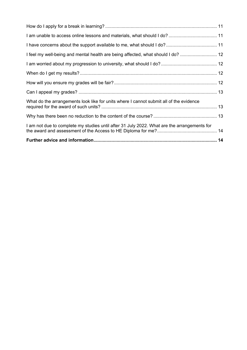| I am not due to complete my studies until after 31 July 2022. What are the arrangements for |  |
|---------------------------------------------------------------------------------------------|--|
|                                                                                             |  |
| What do the arrangements look like for units where I cannot submit all of the evidence      |  |
|                                                                                             |  |
|                                                                                             |  |
|                                                                                             |  |
|                                                                                             |  |
| I feel my well-being and mental health are being affected, what should I do?  12            |  |
|                                                                                             |  |
|                                                                                             |  |
|                                                                                             |  |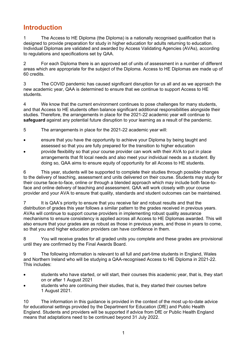# <span id="page-3-0"></span>**Introduction**

1 The Access to HE Diploma (the Diploma) is a nationally recognised qualification that is designed to provide preparation for study in higher education for adults returning to education. Individual Diplomas are validated and awarded by Access Validating Agencies (AVAs), according to regulations and specifications set by QAA.

2 For each Diploma there is an approved set of units of assessment in a number of different areas which are appropriate for the subject of the Diploma. Access to HE Diplomas are made up of 60 credits.

3 The COVID pandemic has caused significant disruption for us all and as we approach the new academic year, QAA is determined to ensure that we continue to support Access to HE students.

4 We know that the current environment continues to pose challenges for many students, and that Access to HE students often balance significant additional responsibilities alongside their studies. Therefore, the arrangements in place for the 2021-22 academic year will continue to **safeguard** against any potential future disruption to your learning as a result of the pandemic.

5 The arrangements in place for the 2021-22 academic year will:

- ensure that you have the opportunity to achieve your Diploma by being taught and assessed so that you are fully prepared for the transition to higher education
- provide flexibility so that your course provider can work with their AVA to put in place arrangements that fit local needs and also meet your individual needs as a student. By doing so, QAA aims to ensure equity of opportunity for all Access to HE students.

6 This year, students will be supported to complete their studies through possible changes to the delivery of teaching, assessment and units delivered on their course. Students may study for their course face-to-face, online or through a blended approach which may include both face-toface and online delivery of teaching and assessment. QAA will work closely with your course provider and your AVA to ensure that quality, standards and student outcomes can be maintained.

7 It is QAA's priority to ensure that you receive fair and robust results and that the distribution of grades this year follows a similar pattern to the grades received in previous years. AVAs will continue to support course providers in implementing robust quality assurance mechanisms to ensure consistency is applied across all Access to HE Diplomas awarded. This will also ensure that your grades are as robust as those in previous years, and those in years to come, so that you and higher education providers can have confidence in them.

8 You will receive grades for all graded units you complete and these grades are provisional until they are confirmed by the Final Awards Board.

9 The following information is relevant to all full and part-time students in England, Wales and Northern Ireland who will be studying a QAA-recognised Access to HE Diploma in 2021-22. This includes:

- students who have started, or will start, their courses this academic year, that is, they start on or after 1 August 2021
- students who are continuing their studies, that is, they started their courses before 1 August 2021.

10 The information in this guidance is provided in the context of the most up-to-date advice for educational settings provided by the Department for Education (DfE) and Public Health England. Students and providers will be supported if advice from DfE or Public Health England means that adaptations need to be continued beyond 31 July 2022.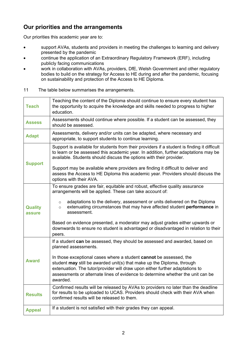## <span id="page-4-0"></span>**Our priorities and the arrangements**

Our priorities this academic year are to:

- support AVAs, students and providers in meeting the challenges to learning and delivery presented by the pandemic
- continue the application of an Extraordinary Regulatory Framework (ERF), including publicly facing communications
- work in collaboration with AVAs, providers, DfE, Welsh Government and other regulatory bodies to build on the strategy for Access to HE during and after the pandemic, focusing on sustainability and protection of the Access to HE Diploma.
- 11 The table below summarises the arrangements.

| <b>Teach</b>             | Teaching the content of the Diploma should continue to ensure every student has<br>the opportunity to acquire the knowledge and skills needed to progress to higher<br>education.                                                                                                                                           |
|--------------------------|-----------------------------------------------------------------------------------------------------------------------------------------------------------------------------------------------------------------------------------------------------------------------------------------------------------------------------|
| <b>Assess</b>            | Assessments should continue where possible. If a student can be assessed, they<br>should be assessed.                                                                                                                                                                                                                       |
| <b>Adapt</b>             | Assessments, delivery and/or units can be adapted, where necessary and<br>appropriate, to support students to continue learning.                                                                                                                                                                                            |
| <b>Support</b>           | Support is available for students from their providers if a student is finding it difficult<br>to learn or be assessed this academic year. In addition, further adaptations may be<br>available. Students should discuss the options with their provider.                                                                   |
|                          | Support may be available where providers are finding it difficult to deliver and<br>assess the Access to HE Diploma this academic year. Providers should discuss the<br>options with their AVA.                                                                                                                             |
| <b>Quality</b><br>assure | To ensure grades are fair, equitable and robust, effective quality assurance<br>arrangements will be applied. These can take account of:                                                                                                                                                                                    |
|                          | adaptations to the delivery, assessment or units delivered on the Diploma<br>$\circ$<br>extenuating circumstances that may have affected student performance in<br>$\circ$<br>assessment.                                                                                                                                   |
|                          | Based on evidence presented, a moderator may adjust grades either upwards or<br>downwards to ensure no student is advantaged or disadvantaged in relation to their<br>peers.                                                                                                                                                |
| <b>Award</b>             | If a student can be assessed, they should be assessed and awarded, based on<br>planned assessments.                                                                                                                                                                                                                         |
|                          | In those exceptional cases where a student cannot be assessed, the<br>student may still be awarded unit(s) that make up the Diploma, through<br>extenuation. The tutor/provider will draw upon either further adaptations to<br>assessments or alternate lines of evidence to determine whether the unit can be<br>awarded. |
| <b>Results</b>           | Confirmed results will be released by AVAs to providers no later than the deadline<br>for results to be uploaded to UCAS. Providers should check with their AVA when<br>confirmed results will be released to them.                                                                                                         |
| <b>Appeal</b>            | If a student is not satisfied with their grades they can appeal.                                                                                                                                                                                                                                                            |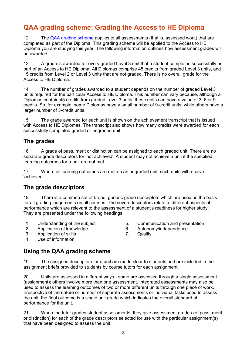# <span id="page-5-0"></span>**QAA grading scheme: Grading the Access to HE Diploma**

12 The [QAA grading scheme](https://www.qaa.ac.uk/en/access-to-he/access-to-he-resources) applies to all assessments (that is, assessed work) that are completed as part of the Diploma. This grading scheme will be applied to the Access to HE Diploma you are studying this year. The following information outlines how assessment grades will be awarded.

13 A grade is awarded for every graded Level 3 unit that a student completes successfully as part of an Access to HE Diploma. All Diplomas comprise 45 credits from graded Level 3 units, and 15 credits from Level 2 or Level 3 units that are not graded. There is no overall grade for the Access to HE Diploma.

14 The number of grades awarded to a student depends on the number of graded Level 3 units required for the particular Access to HE Diploma. This number can vary because, although all Diplomas contain 45 credits from graded Level 3 units, these units can have a value of 3, 6 or 9 credits. So, for example, some Diplomas have a small number of 9-credit units, while others have a larger number of 3-credit units.

15 The grade awarded for each unit is shown on the achievement transcript that is issued with Access to HE Diplomas. The transcript also shows how many credits were awarded for each successfully completed graded or ungraded unit.

#### <span id="page-5-1"></span>**The grades**

16 A grade of pass, merit or distinction can be assigned to each graded unit. There are no separate grade descriptors for 'not achieved'. A student may not achieve a unit if the specified learning outcomes for a unit are not met.

17 Where all learning outcomes are met on an ungraded unit, such units will receive 'achieved'.

#### <span id="page-5-2"></span>**The grade descriptors**

18 There is a common set of broad, generic grade descriptors which are used as the basis for all grading judgements on all courses. The seven descriptors relate to different aspects of performance which are relevant to the assessment of a student's readiness for higher study. They are presented under the following headings:

- 1. Understanding of the subject 5. Communication and presentation
- 2. Application of knowledge 6. Autonomy/independence
- 3. Application of skills 7. Quality
- 4. Use of information

#### <span id="page-5-3"></span>**Using the QAA grading scheme**

19 The assigned descriptors for a unit are made clear to students and are included in the assignment briefs provided to students by course tutors for each assignment.

20 Units are assessed in different ways - some are assessed through a single assessment (assignment); others involve more than one assessment. Integrated assessments may also be used to assess the learning outcomes of two or more different units through one piece of work. Irrespective of the nature or number of separate assessments or individual tasks used to assess the unit, the final outcome is a single unit grade which indicates the overall standard of performance for the unit.

21 When the tutor grades student assessments, they give assessment grades (of pass, merit or distinction) for each of the grade descriptors selected for use with the particular assignment(s) that have been designed to assess the unit.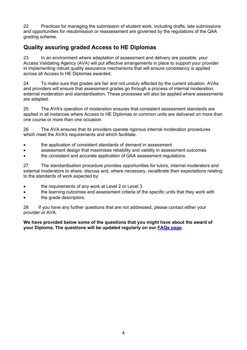22 Practices for managing the submission of student work, including drafts, late submissions and opportunities for resubmission or reassessment are governed by the regulations of the QAA grading scheme.

## <span id="page-6-0"></span>**Quality assuring graded Access to HE Diplomas**

23 In an environment where adaptation of assessment and delivery are possible, your Access Validating Agency (AVA) will put effective arrangements in place to support your provider in implementing robust quality assurance mechanisms that will ensure consistency is applied across all Access to HE Diplomas awarded.

24 To make sure that grades are fair and not unduly affected by the current situation, AVAs and providers will ensure that assessment grades go through a process of internal moderation, external moderation and standardisation. These processes will also be applied where assessments are adapted.

25 The AVA's operation of moderation ensures that consistent assessment standards are applied in all instances where Access to HE Diplomas or common units are delivered on more than one course or more than one occasion.

26 The AVA ensures that its providers operate rigorous internal moderation procedures which meet the AVA's requirements and which facilitate:

- the application of consistent standards of demand in assessment
- assessment design that maximises reliability and validity in assessment outcomes
- the consistent and accurate application of QAA assessment regulations.

27 The standardisation procedure provides opportunities for tutors, internal moderators and external moderators to share, discuss and, where necessary, recalibrate their expectations relating to the standards of work expected by:

- the requirements of any work at Level 2 or Level 3
- the learning outcomes and assessment criteria of the specific units that they work with
- the grade descriptors.

28 If you have any further questions that are not addressed, please contact either your provider or AVA.

<span id="page-6-1"></span>**We have provided below some of the questions that you might have about the award of your Diploma. The questions will be updated regularly on our [FAQs page.](https://www.accesstohe.ac.uk/en/contact-us/faqs/coronavirus-(covid-19))**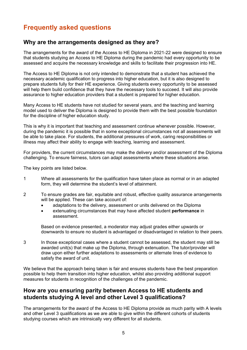# **Frequently asked questions**

#### **Why are the arrangements designed as they are?**

The arrangements for the award of the Access to HE Diploma in 2021-22 were designed to ensure that students studying an Access to HE Diploma during the pandemic had every opportunity to be assessed and acquire the necessary knowledge and skills to facilitate their progression into HE.

The Access to HE Diploma is not only intended to demonstrate that a student has achieved the necessary academic qualification to progress into higher education, but it is also designed to prepare students fully for their HE experience. Giving students every opportunity to be assessed will help them build confidence that they have the necessary tools to succeed. It will also provide assurance to higher education providers that a student is prepared for higher education.

Many Access to HE students have not studied for several years, and the teaching and learning model used to deliver the Diploma is designed to provide them with the best possible foundation for the discipline of higher education study.

This is why it is important that teaching and assessment continue whenever possible. However, during the pandemic it is possible that in some exceptional circumstances not all assessments will be able to take place. For students, the additional pressures of work, caring responsibilities or illness may affect their ability to engage with teaching, learning and assessment.

For providers, the current circumstances may make the delivery and/or assessment of the Diploma challenging. To ensure fairness, tutors can adapt assessments where these situations arise.

The key points are listed below.

- 1 Where all assessments for the qualification have taken place as normal or in an adapted form, they will determine the student's level of attainment.
- 2 To ensure grades are fair, equitable and robust, effective quality assurance arrangements will be applied. These can take account of:
	- adaptations to the delivery, assessment or units delivered on the Diploma
	- extenuating circumstances that may have affected student **performance** in assessment.

Based on evidence presented, a moderator may adjust grades either upwards or downwards to ensure no student is advantaged or disadvantaged in relation to their peers.

3 In those exceptional cases where a student cannot be assessed, the student may still be awarded unit(s) that make up the Diploma, through extenuation. The tutor/provider will draw upon either further adaptations to assessments or alternate lines of evidence to satisfy the award of unit.

We believe that the approach being taken is fair and ensures students have the best preparation possible to help them transition into higher education, whilst also providing additional support measures for students in recognition of the challenges of the pandemic.

#### <span id="page-7-0"></span>**How are you ensuring parity between Access to HE students and students studying A level and other Level 3 qualifications?**

The arrangements for the award of the Access to HE Diploma provide as much parity with A levels and other Level 3 qualifications as we are able to give within the different cohorts of students studying courses which are intrinsically very different for all students.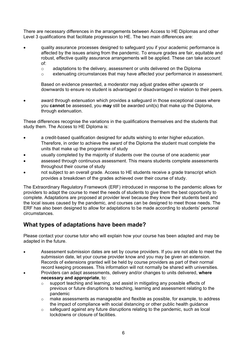There are necessary differences in the arrangements between Access to HE Diplomas and other Level 3 qualifications that facilitate progression to HE. The two main differences are:

- quality assurance processes designed to safeguard you if your academic performance is affected by the issues arising from the pandemic. To ensure grades are fair, equitable and robust, effective quality assurance arrangements will be applied. These can take account of:
	- $\circ$  adaptations to the delivery, assessment or units delivered on the Diploma<br> $\circ$  extenuating circumstances that may have affected your performance in as
	- extenuating circumstances that may have affected your performance in assessment.

Based on evidence presented, a moderator may adjust grades either upwards or downwards to ensure no student is advantaged or disadvantaged in relation to their peers.

award through extenuation which provides a safeguard in those exceptional cases where you **cannot** be assessed, you **may** still be awarded unit(s) that make up the Diploma, through extenuation.

These differences recognise the variations in the qualifications themselves and the students that study them. The Access to HE Diploma is:

- a credit-based qualification designed for adults wishing to enter higher education. Therefore, in order to achieve the award of the Diploma the student must complete the units that make up the programme of study
- usually completed by the majority of students over the course of one academic year
- assessed through continuous assessment. This means students complete assessments throughout their course of study
- not subject to an overall grade. Access to HE students receive a grade transcript which provides a breakdown of the grades achieved over their course of study.

The Extraordinary Regulatory Framework (ERF) introduced in response to the pandemic allows for providers to adapt the course to meet the needs of students to give them the best opportunity to complete. Adaptations are proposed at provider level because they know their students best and the local issues caused by the pandemic, and courses can be designed to meet those needs. The ERF has also been designed to allow for adaptations to be made according to students' personal circumstances.

#### <span id="page-8-0"></span>**What types of adaptations have been made?**

Please contact your course tutor who will explain how your course has been adapted and may be adapted in the future.

- Assessment submission dates are set by course providers. If you are not able to meet the submission date, let your course provider know and you may be given an extension. Records of extensions granted will be held by course providers as part of their normal record keeping processes. This information will not normally be shared with universities.
- Providers can adapt assessments, delivery and/or changes to units delivered, **where necessary and appropriate**, to:
	- o support teaching and learning, and assist in mitigating any possible effects of previous or future disruptions to teaching, learning and assessment relating to the pandemic
	- o make assessments as manageable and flexible as possible, for example, to address the impact of compliance with social distancing or other public health guidance
	- o safeguard against any future disruptions relating to the pandemic, such as local lockdowns or closure of facilities.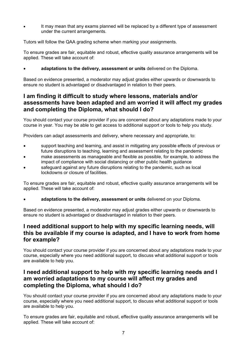It may mean that any exams planned will be replaced by a different type of assessment under the current arrangements.

Tutors will follow the QAA grading scheme when marking your assignments.

To ensure grades are fair, equitable and robust, effective quality assurance arrangements will be applied. These will take account of:

• **adaptations to the delivery, assessment or units** delivered on the Diploma.

Based on evidence presented, a moderator may adjust grades either upwards or downwards to ensure no student is advantaged or disadvantaged in relation to their peers.

#### <span id="page-9-0"></span>**I am finding it difficult to study where lessons, materials and/or assessments have been adapted and am worried it will affect my grades and completing the Diploma, what should I do?**

You should contact your course provider if you are concerned about any adaptations made to your course in year. You may be able to get access to additional support or tools to help you study.

Providers can adapt assessments and delivery, where necessary and appropriate, to:

- support teaching and learning, and assist in mitigating any possible effects of previous or future disruptions to teaching, learning and assessment relating to the pandemic
- make assessments as manageable and flexible as possible, for example, to address the impact of compliance with social distancing or other public health guidance
- safeguard against any future disruptions relating to the pandemic, such as local lockdowns or closure of facilities.

To ensure grades are fair, equitable and robust, effective quality assurance arrangements will be applied. These will take account of:

• **adaptations to the delivery, assessment or units** delivered on your Diploma.

Based on evidence presented, a moderator may adjust grades either upwards or downwards to ensure no student is advantaged or disadvantaged in relation to their peers.

#### <span id="page-9-1"></span>**I need additional support to help with my specific learning needs, will this be available if my course is adapted, and I have to work from home for example?**

You should contact your course provider if you are concerned about any adaptations made to your course, especially where you need additional support, to discuss what additional support or tools are available to help you.

#### <span id="page-9-2"></span>**I need additional support to help with my specific learning needs and I am worried adaptations to my course will affect my grades and completing the Diploma, what should I do?**

You should contact your course provider if you are concerned about any adaptations made to your course, especially where you need additional support, to discuss what additional support or tools are available to help you.

To ensure grades are fair, equitable and robust, effective quality assurance arrangements will be applied. These will take account of: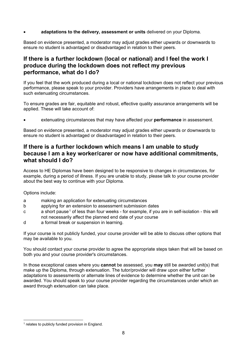#### • **adaptations to the delivery, assessment or units** delivered on your Diploma.

Based on evidence presented, a moderator may adjust grades either upwards or downwards to ensure no student is advantaged or disadvantaged in relation to their peers.

#### <span id="page-10-0"></span>**If there is a further lockdown (local or national) and I feel the work I produce during the lockdown does not reflect my previous performance, what do I do?**

If you feel that the work produced during a local or national lockdown does not reflect your previous performance, please speak to your provider. Providers have arrangements in place to deal with such extenuating circumstances.

To ensure grades are fair, equitable and robust, effective quality assurance arrangements will be applied. These will take account of:

• extenuating circumstances that may have affected your **performance** in assessment.

Based on evidence presented, a moderator may adjust grades either upwards or downwards to ensure no student is advantaged or disadvantaged in relation to their peers.

#### <span id="page-10-1"></span>**If there is a further lockdown which means I am unable to study because I am a key worker/carer or now have additional commitments, what should I do?**

Access to HE Diplomas have been designed to be responsive to changes in circumstances, for example, during a period of illness. If you are unable to study, please talk to your course provider about the best way to continue with your Diploma.

Options include:

- a making an application for extenuating circumstances
- b applying for an extension to assessment submission dates
- c a short pause<sup>[1](#page-10-2)</sup> of less than four weeks for example, if you are in self-isolation this will not necessarily affect the planned end date of your course
- d a formal break or suspension in learning.

If your course is not publicly funded, your course provider will be able to discuss other options that may be available to you.

You should contact your course provider to agree the appropriate steps taken that will be based on both you and your course provider's circumstances.

In those exceptional cases where you **cannot** be assessed, you **may** still be awarded unit(s) that make up the Diploma, through extenuation. The tutor/provider will draw upon either further adaptations to assessments or alternate lines of evidence to determine whether the unit can be awarded. You should speak to your course provider regarding the circumstances under which an award through extenuation can take place.

<span id="page-10-2"></span> $<sup>1</sup>$  relates to publicly funded provision in England.</sup>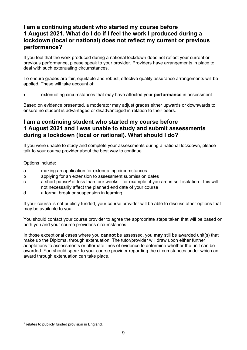#### <span id="page-11-0"></span>**I am a continuing student who started my course before 1 August 2021. What do I do if I feel the work I produced during a lockdown (local or national) does not reflect my current or previous performance?**

If you feel that the work produced during a national lockdown does not reflect your current or previous performance, please speak to your provider. Providers have arrangements in place to deal with such extenuating circumstances.

To ensure grades are fair, equitable and robust, effective quality assurance arrangements will be applied. These will take account of:

• extenuating circumstances that may have affected your **performance** in assessment.

Based on evidence presented, a moderator may adjust grades either upwards or downwards to ensure no student is advantaged or disadvantaged in relation to their peers.

#### <span id="page-11-1"></span>**I am a continuing student who started my course before 1 August 2021 and I was unable to study and submit assessments during a lockdown (local or national). What should I do?**

If you were unable to study and complete your assessments during a national lockdown, please talk to your course provider about the best way to continue.

#### Options include:

- a making an application for extenuating circumstances
- b applying for an extension to assessment submission dates
- c a short pause[2](#page-11-2) of less than four weeks for example, if you are in self-isolation this will not necessarily affect the planned end date of your course
- d a formal break or suspension in learning.

If your course is not publicly funded, your course provider will be able to discuss other options that may be available to you.

You should contact your course provider to agree the appropriate steps taken that will be based on both you and your course provider's circumstances.

In those exceptional cases where you **cannot** be assessed, you **may** still be awarded unit(s) that make up the Diploma, through extenuation. The tutor/provider will draw upon either further adaptations to assessments or alternate lines of evidence to determine whether the unit can be awarded. You should speak to your course provider regarding the circumstances under which an award through extenuation can take place.

<span id="page-11-2"></span><sup>2</sup> relates to publicly funded provision in England.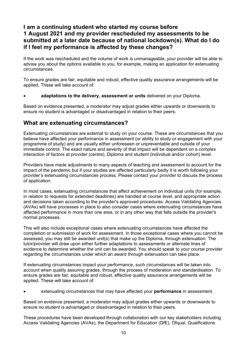#### <span id="page-12-0"></span>**I am a continuing student who started my course before 1 August 2021 and my provider rescheduled my assessments to be submitted at a later date because of national lockdown(s). What do I do if I feel my performance is affected by these changes?**

If the work was rescheduled and the volume of work is unmanageable, your provider will be able to advise you about the options available to you, for example, making an application for extenuating circumstances.

To ensure grades are fair, equitable and robust, effective quality assurance arrangements will be applied. These will take account of:

• **adaptations to the delivery, assessment or units** delivered on your Diploma.

Based on evidence presented, a moderator may adjust grades either upwards or downwards to ensure no student is advantaged or disadvantaged in relation to their peers.

#### <span id="page-12-1"></span>**What are extenuating circumstances?**

Extenuating circumstances are external to study on your course. These are circumstances that you believe have affected your performance in assessment (or ability to study or engagement with your programme of study) and are usually either unforeseen or unpreventable and outside of your immediate control. The exact nature and severity of that impact will be dependent on a complex interaction of factors at provider (centre), Diploma and student (individual and/or cohort) level.

Providers have made adjustments to many aspects of teaching and assessment to account for the impact of the pandemic but if your studies are affected particularly badly it is worth following your provider's extenuating circumstances process. Please contact your provider to discuss the process of application.

In most cases, extenuating circumstances that affect achievement on individual units (for example, in relation to requests for extended deadlines) are handled at course level, and appropriate action and decisions taken according to the provider's approved procedures. Access Validating Agencies (AVAs) will have processes in place to also consider cases where extenuating circumstances have affected performance in more than one area, or in any other way that falls outside the provider's normal processes.

This will also include exceptional cases where extenuating circumstances have affected the completion or submission of work for assessment. In those exceptional cases where you cannot be assessed, you may still be awarded unit(s) that make up the Diploma, through extenuation. The tutor/provider will draw upon either further adaptations to assessments or alternate lines of evidence to determine whether the unit can be awarded. You should speak to your course provider regarding the circumstances under which an award through extenuation can take place.

If extenuating circumstances impact your performance, such circumstances will be taken into account when quality assuring grades, through the process of moderation and standardisation. To ensure grades are fair, equitable and robust, effective quality assurance arrangements will be applied. These will take account of:

• extenuating circumstances that may have affected your **performance** in assessment.

Based on evidence presented, a moderator may adjust grades either upwards or downwards to ensure no student is advantaged or disadvantaged in relation to their peers.

These procedures have been developed through collaboration with our key stakeholders including Access Validating Agencies (AVAs), the Department for Education (DfE), Ofqual, Qualifications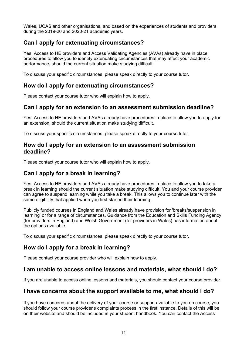Wales, UCAS and other organisations, and based on the experiences of students and providers during the 2019-20 and 2020-21 academic years.

#### <span id="page-13-0"></span>**Can I apply for extenuating circumstances?**

Yes. Access to HE providers and Access Validating Agencies (AVAs) already have in place procedures to allow you to identify extenuating circumstances that may affect your academic performance, should the current situation make studying difficult.

To discuss your specific circumstances, please speak directly to your course tutor.

#### <span id="page-13-1"></span>**How do I apply for extenuating circumstances?**

Please contact your course tutor who will explain how to apply.

#### <span id="page-13-2"></span>**Can I apply for an extension to an assessment submission deadline?**

Yes. Access to HE providers and AVAs already have procedures in place to allow you to apply for an extension, should the current situation make studying difficult.

To discuss your specific circumstances, please speak directly to your course tutor.

#### <span id="page-13-3"></span>**How do I apply for an extension to an assessment submission deadline?**

Please contact your course tutor who will explain how to apply.

#### <span id="page-13-4"></span>**Can I apply for a break in learning?**

Yes. Access to HE providers and AVAs already have procedures in place to allow you to take a break in learning should the current situation make studying difficult. You and your course provider can agree to suspend learning while you take a break. This allows you to continue later with the same eligibility that applied when you first started their learning.

Publicly funded courses in England and Wales already have provision for 'breaks/suspension in learning' or for a range of circumstances. Guidance from the Education and Skills Funding Agency (for providers in England) and Welsh Government (for providers in Wales) has information about the options available.

To discuss your specific circumstances, please speak directly to your course tutor.

#### <span id="page-13-5"></span>**How do I apply for a break in learning?**

Please contact your course provider who will explain how to apply.

#### <span id="page-13-6"></span>**I am unable to access online lessons and materials, what should I do?**

If you are unable to access online lessons and materials, you should contact your course provider.

#### <span id="page-13-7"></span>**I have concerns about the support available to me, what should I do?**

If you have concerns about the delivery of your course or support available to you on course, you should follow your course provider's complaints process in the first instance. Details of this will be on their website and should be included in your student handbook. You can contact the Access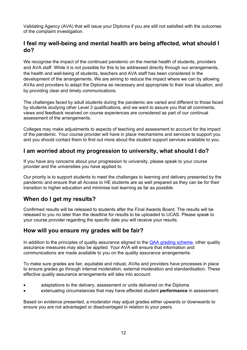Validating Agency (AVA) that will issue your Diploma if you are still not satisfied with the outcomes of the complaint investigation.

#### <span id="page-14-0"></span>**I feel my well-being and mental health are being affected, what should I do?**

We recognise the impact of the continued pandemic on the mental health of students, providers and AVA staff. While it is not possible for this to be addressed directly through our arrangements, the health and well-being of students, teachers and AVA staff has been considered in the development of the arrangements. We are aiming to reduce the impact where we can by allowing AVAs and providers to adapt the Diploma as necessary and appropriate to their local situation, and by providing clear and timely communications.

The challenges faced by adult students during the pandemic are varied and different to those faced by students studying other Level 3 qualifications, and we want to assure you that all comments, views and feedback received on course experiences are considered as part of our continual assessment of the arrangements.

Colleges may make adjustments to aspects of teaching and assessment to account for the impact of the pandemic. Your course provider will have in place mechanisms and services to support you and you should contact them to find out more about the student support services available to you.

#### <span id="page-14-1"></span>**I am worried about my progression to university, what should I do?**

If you have any concerns about your progression to university, please speak to your course provider and the universities you have applied to.

Our priority is to support students to meet the challenges to learning and delivery presented by the pandemic and ensure that all Access to HE students are as well prepared as they can be for their transition to higher education and minimise lost learning as far as possible.

#### <span id="page-14-2"></span>**When do I get my results?**

Confirmed results will be released to students after the Final Awards Board. The results will be released to you no later than the deadline for results to be uploaded to UCAS. Please speak to your course provider regarding the specific date you will receive your results.

#### <span id="page-14-3"></span>**How will you ensure my grades will be fair?**

In addition to the principles of quality assurance aligned to the [QAA grading scheme,](http://www.qaa.ac.uk/en/access-to-he/access-to-he-resources) other quality assurance measures may also be applied. Your AVA will ensure that information and communications are made available to you on the quality assurance arrangements.

To make sure grades are fair, equitable and robust, AVAs and providers have processes in place to ensure grades go through internal moderation, external moderation and standardisation. These effective quality assurance arrangements will take into account:

- adaptations to the delivery, assessment or units delivered on the Diploma
- extenuating circumstances that may have affected student **performance** in assessment.

Based on evidence presented, a moderator may adjust grades either upwards or downwards to ensure you are not advantaged or disadvantaged in relation to your peers.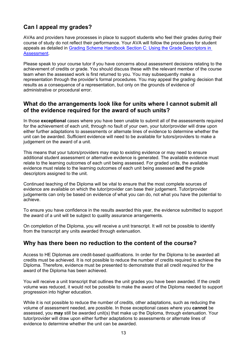## <span id="page-15-0"></span>**Can I appeal my grades?**

AVAs and providers have processes in place to support students who feel their grades during their course of study do not reflect their performance. Your AVA will follow the procedures for student appeals as detailed in [Grading Scheme Handbook Section C: Using the Grade Descriptors in](https://www.qaa.ac.uk/docs/qaa/about-us/access-grading-scheme-handbook-section-c.pdf)  [Assessment.](https://www.qaa.ac.uk/docs/qaa/about-us/access-grading-scheme-handbook-section-c.pdf)

Please speak to your course tutor if you have concerns about assessment decisions relating to the achievement of credits or grade. You should discuss these with the relevant member of the course team when the assessed work is first returned to you. You may subsequently make a representation through the provider's formal procedures. You may appeal the grading decision that results as a consequence of a representation, but only on the grounds of evidence of administrative or procedural error.

#### <span id="page-15-1"></span>**What do the arrangements look like for units where I cannot submit all of the evidence required for the award of such units?**

In those **exceptional** cases where you have been unable to submit all of the assessments required for the achievement of each unit, through no fault of your own, your tutor/provider will draw upon either further adaptations to assessments or alternate lines of evidence to determine whether the unit can be awarded. Sufficient evidence will need to be available for tutors/providers to make a judgement on the award of a unit.

This means that your tutors/providers may map to existing evidence or may need to ensure additional student assessment or alternative evidence is generated. The available evidence must relate to the learning outcomes of each unit being assessed. For graded units, the available evidence must relate to the learning outcomes of each unit being assessed **and** the grade descriptors assigned to the unit.

Continued teaching of the Diploma will be vital to ensure that the most complete sources of evidence are available on which the tutor/provider can base their judgement. Tutor/provider judgements can only be based on evidence of what you can do, not what you have the potential to achieve.

To ensure you have confidence in the results awarded this year, the evidence submitted to support the award of a unit will be subject to quality assurance arrangements.

On completion of the Diploma, you will receive a unit transcript. It will not be possible to identify from the transcript any units awarded through extenuation.

#### <span id="page-15-2"></span>**Why has there been no reduction to the content of the course?**

Access to HE Diplomas are credit-based qualifications. In order for the Diploma to be awarded all credits must be achieved. It is not possible to reduce the number of credits required to achieve the Diploma. Therefore, evidence must be presented to demonstrate that all credit required for the award of the Diploma has been achieved.

You will receive a unit transcript that outlines the unit grades you have been awarded. If the credit volume was reduced, it would not be possible to make the award of the Diploma needed to support progression into higher education.

While it is not possible to reduce the number of credits, other adaptations, such as reducing the volume of assessment needed, are possible. In those exceptional cases where you **cannot** be assessed, you **may** still be awarded unit(s) that make up the Diploma, through extenuation. Your tutor/provider will draw upon either further adaptations to assessments or alternate lines of evidence to determine whether the unit can be awarded.